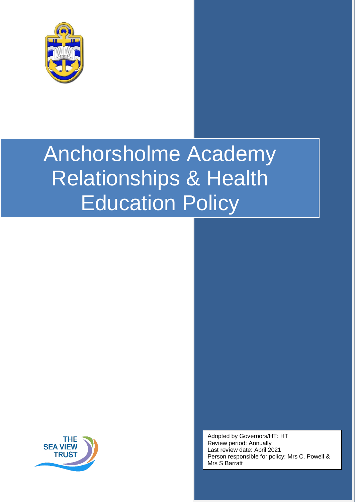



Adopted by Governors/HT: HT Review period: Annually Last review date: April 2021 Person responsible for policy: Mrs C. Powell & Mrs S Barratt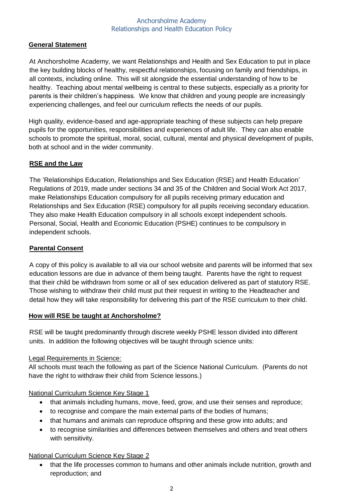## **General Statement**

At Anchorsholme Academy, we want Relationships and Health and Sex Education to put in place the key building blocks of healthy, respectful relationships, focusing on family and friendships, in all contexts, including online. This will sit alongside the essential understanding of how to be healthy. Teaching about mental wellbeing is central to these subjects, especially as a priority for parents is their children's happiness. We know that children and young people are increasingly experiencing challenges, and feel our curriculum reflects the needs of our pupils.

High quality, evidence-based and age-appropriate teaching of these subjects can help prepare pupils for the opportunities, responsibilities and experiences of adult life. They can also enable schools to promote the spiritual, moral, social, cultural, mental and physical development of pupils, both at school and in the wider community.

## **RSE and the Law**

The 'Relationships Education, Relationships and Sex Education (RSE) and Health Education' Regulations of 2019, made under sections 34 and 35 of the Children and Social Work Act 2017, make Relationships Education compulsory for all pupils receiving primary education and Relationships and Sex Education (RSE) compulsory for all pupils receiving secondary education. They also make Health Education compulsory in all schools except independent schools. Personal, Social, Health and Economic Education (PSHE) continues to be compulsory in independent schools.

## **Parental Consent**

A copy of this policy is available to all via our school website and parents will be informed that sex education lessons are due in advance of them being taught. Parents have the right to request that their child be withdrawn from some or all of sex education delivered as part of statutory RSE. Those wishing to withdraw their child must put their request in writing to the Headteacher and detail how they will take responsibility for delivering this part of the RSE curriculum to their child.

## **How will RSE be taught at Anchorsholme?**

RSE will be taught predominantly through discrete weekly PSHE lesson divided into different units. In addition the following objectives will be taught through science units:

## Legal Requirements in Science:

All schools must teach the following as part of the Science National Curriculum. (Parents do not have the right to withdraw their child from Science lessons.)

National Curriculum Science Key Stage 1

- that animals including humans, move, feed, grow, and use their senses and reproduce;
- to recognise and compare the main external parts of the bodies of humans;
- that humans and animals can reproduce offspring and these grow into adults; and
- to recognise similarities and differences between themselves and others and treat others with sensitivity.

## National Curriculum Science Key Stage 2

 that the life processes common to humans and other animals include nutrition, growth and reproduction; and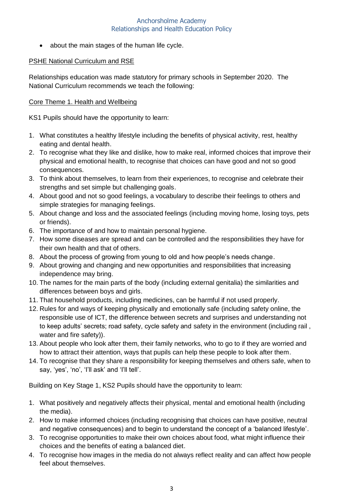• about the main stages of the human life cycle.

## PSHE National Curriculum and RSE

Relationships education was made statutory for primary schools in September 2020. The National Curriculum recommends we teach the following:

## Core Theme 1. Health and Wellbeing

KS1 Pupils should have the opportunity to learn:

- 1. What constitutes a healthy lifestyle including the benefits of physical activity, rest, healthy eating and dental health.
- 2. To recognise what they like and dislike, how to make real, informed choices that improve their physical and emotional health, to recognise that choices can have good and not so good consequences.
- 3. To think about themselves, to learn from their experiences, to recognise and celebrate their strengths and set simple but challenging goals.
- 4. About good and not so good feelings, a vocabulary to describe their feelings to others and simple strategies for managing feelings.
- 5. About change and loss and the associated feelings (including moving home, losing toys, pets or friends).
- 6. The importance of and how to maintain personal hygiene.
- 7. How some diseases are spread and can be controlled and the responsibilities they have for their own health and that of others.
- 8. About the process of growing from young to old and how people's needs change.
- 9. About growing and changing and new opportunities and responsibilities that increasing independence may bring.
- 10. The names for the main parts of the body (including external genitalia) the similarities and differences between boys and girls.
- 11. That household products, including medicines, can be harmful if not used properly.
- 12. Rules for and ways of keeping physically and emotionally safe (including safety online, the responsible use of ICT, the difference between secrets and surprises and understanding not to keep adults' secrets; road safety, cycle safety and safety in the environment (including rail , water and fire safety)).
- 13. About people who look after them, their family networks, who to go to if they are worried and how to attract their attention, ways that pupils can help these people to look after them.
- 14. To recognise that they share a responsibility for keeping themselves and others safe, when to say, 'yes', 'no', 'I'll ask' and 'I'll tell'.

Building on Key Stage 1, KS2 Pupils should have the opportunity to learn:

- 1. What positively and negatively affects their physical, mental and emotional health (including the media).
- 2. How to make informed choices (including recognising that choices can have positive, neutral and negative consequences) and to begin to understand the concept of a 'balanced lifestyle'.
- 3. To recognise opportunities to make their own choices about food, what might influence their choices and the benefits of eating a balanced diet.
- 4. To recognise how images in the media do not always reflect reality and can affect how people feel about themselves.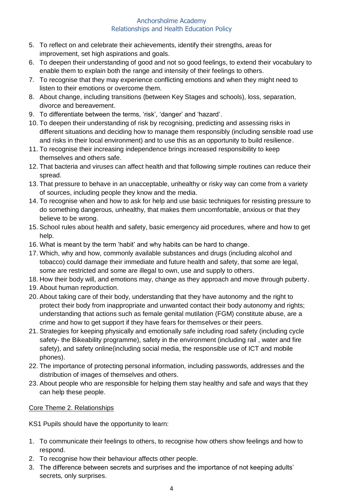- 5. To reflect on and celebrate their achievements, identify their strengths, areas for improvement, set high aspirations and goals.
- 6. To deepen their understanding of good and not so good feelings, to extend their vocabulary to enable them to explain both the range and intensity of their feelings to others.
- 7. To recognise that they may experience conflicting emotions and when they might need to listen to their emotions or overcome them.
- 8. About change, including transitions (between Key Stages and schools), loss, separation, divorce and bereavement.
- 9. To differentiate between the terms, 'risk', 'danger' and 'hazard'.
- 10. To deepen their understanding of risk by recognising, predicting and assessing risks in different situations and deciding how to manage them responsibly (including sensible road use and risks in their local environment) and to use this as an opportunity to build resilience.
- 11. To recognise their increasing independence brings increased responsibility to keep themselves and others safe.
- 12. That bacteria and viruses can affect health and that following simple routines can reduce their spread.
- 13. That pressure to behave in an unacceptable, unhealthy or risky way can come from a variety of sources, including people they know and the media.
- 14. To recognise when and how to ask for help and use basic techniques for resisting pressure to do something dangerous, unhealthy, that makes them uncomfortable, anxious or that they believe to be wrong.
- 15. School rules about health and safety, basic emergency aid procedures, where and how to get help.
- 16. What is meant by the term 'habit' and why habits can be hard to change.
- 17. Which, why and how, commonly available substances and drugs (including alcohol and tobacco) could damage their immediate and future health and safety, that some are legal, some are restricted and some are illegal to own, use and supply to others.
- 18. How their body will, and emotions may, change as they approach and move through puberty.
- 19. About human reproduction.
- 20. About taking care of their body, understanding that they have autonomy and the right to protect their body from inappropriate and unwanted contact their body autonomy and rights; understanding that actions such as female genital mutilation (FGM) constitute abuse, are a crime and how to get support if they have fears for themselves or their peers.
- 21. Strategies for keeping physically and emotionally safe including road safety (including cycle safety- the Bikeability programme), safety in the environment (including rail , water and fire safety), and safety online(including social media, the responsible use of ICT and mobile phones).
- 22. The importance of protecting personal information, including passwords, addresses and the distribution of images of themselves and others.
- 23. About people who are responsible for helping them stay healthy and safe and ways that they can help these people.

Core Theme 2. Relationships

KS1 Pupils should have the opportunity to learn:

- 1. To communicate their feelings to others, to recognise how others show feelings and how to respond.
- 2. To recognise how their behaviour affects other people.
- 3. The difference between secrets and surprises and the importance of not keeping adults' secrets, only surprises.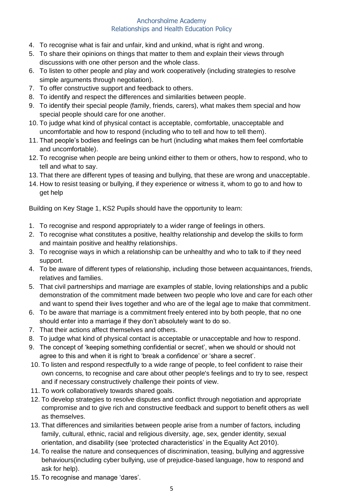- 4. To recognise what is fair and unfair, kind and unkind, what is right and wrong.
- 5. To share their opinions on things that matter to them and explain their views through discussions with one other person and the whole class.
- 6. To listen to other people and play and work cooperatively (including strategies to resolve simple arguments through negotiation).
- 7. To offer constructive support and feedback to others.
- 8. To identify and respect the differences and similarities between people.
- 9. To identify their special people (family, friends, carers), what makes them special and how special people should care for one another.
- 10. To judge what kind of physical contact is acceptable, comfortable, unacceptable and uncomfortable and how to respond (including who to tell and how to tell them).
- 11. That people's bodies and feelings can be hurt (including what makes them feel comfortable and uncomfortable).
- 12. To recognise when people are being unkind either to them or others, how to respond, who to tell and what to say.
- 13. That there are different types of teasing and bullying, that these are wrong and unacceptable.
- 14. How to resist teasing or bullying, if they experience or witness it, whom to go to and how to get help

Building on Key Stage 1, KS2 Pupils should have the opportunity to learn:

- 1. To recognise and respond appropriately to a wider range of feelings in others.
- 2. To recognise what constitutes a positive, healthy relationship and develop the skills to form and maintain positive and healthy relationships.
- 3. To recognise ways in which a relationship can be unhealthy and who to talk to if they need support.
- 4. To be aware of different types of relationship, including those between acquaintances, friends, relatives and families.
- 5. That civil partnerships and marriage are examples of stable, loving relationships and a public demonstration of the commitment made between two people who love and care for each other and want to spend their lives together and who are of the legal age to make that commitment.
- 6. To be aware that marriage is a commitment freely entered into by both people, that no one should enter into a marriage if they don't absolutely want to do so.
- 7. That their actions affect themselves and others.
- 8. To judge what kind of physical contact is acceptable or unacceptable and how to respond.
- 9. The concept of 'keeping something confidential or secret', when we should or should not agree to this and when it is right to 'break a confidence' or 'share a secret'.
- 10. To listen and respond respectfully to a wide range of people, to feel confident to raise their own concerns, to recognise and care about other people's feelings and to try to see, respect and if necessary constructively challenge their points of view.
- 11. To work collaboratively towards shared goals.
- 12. To develop strategies to resolve disputes and conflict through negotiation and appropriate compromise and to give rich and constructive feedback and support to benefit others as well as themselves.
- 13. That differences and similarities between people arise from a number of factors, including family, cultural, ethnic, racial and religious diversity, age, sex, gender identity, sexual orientation, and disability (see 'protected characteristics' in the Equality Act 2010).
- 14. To realise the nature and consequences of discrimination, teasing, bullying and aggressive behaviours(including cyber bullying, use of prejudice-based language, how to respond and ask for help).
- 15. To recognise and manage 'dares'.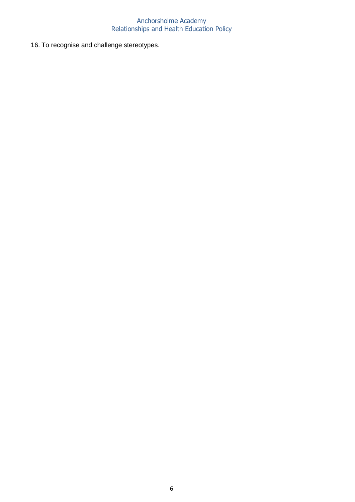16. To recognise and challenge stereotypes.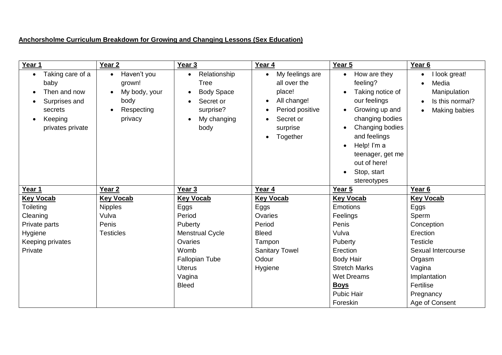## **Anchorsholme Curriculum Breakdown for Growing and Changing Lessons (Sex Education)**

| Year 1                   | Year <sub>2</sub>                  | Year 3                                   | Year 4                          | Year 5                                | Year <sub>6</sub>                                |
|--------------------------|------------------------------------|------------------------------------------|---------------------------------|---------------------------------------|--------------------------------------------------|
| Taking care of a<br>baby | Haven't you<br>$\bullet$<br>grown! | Relationship<br>$\bullet$<br><b>Tree</b> | My feelings are<br>all over the | How are they<br>$\bullet$<br>feeling? | I look great!<br>$\bullet$<br>Media<br>$\bullet$ |
| Then and now             | My body, your                      | <b>Body Space</b>                        | place!                          | Taking notice of                      | Manipulation                                     |
| Surprises and            | body                               | Secret or                                | All change!<br>٠                | our feelings                          | Is this normal?<br>$\bullet$                     |
| secrets                  | Respecting<br>$\bullet$            | surprise?                                | Period positive                 | Growing up and                        | Making babies<br>$\bullet$                       |
| Keeping                  | privacy                            | My changing                              | Secret or                       | changing bodies                       |                                                  |
| privates private         |                                    | body                                     | surprise                        | Changing bodies                       |                                                  |
|                          |                                    |                                          | Together                        | and feelings                          |                                                  |
|                          |                                    |                                          |                                 | Help! I'm a                           |                                                  |
|                          |                                    |                                          |                                 | teenager, get me                      |                                                  |
|                          |                                    |                                          |                                 | out of here!                          |                                                  |
|                          |                                    |                                          |                                 | Stop, start                           |                                                  |
|                          |                                    |                                          |                                 | stereotypes                           |                                                  |
| Year 1                   | Year <sub>2</sub>                  | Year 3                                   | Year 4                          | Year 5                                | Year 6                                           |
| <b>Key Vocab</b>         | <b>Key Vocab</b>                   | <b>Key Vocab</b>                         | <b>Key Vocab</b>                | <b>Key Vocab</b>                      | <b>Key Vocab</b>                                 |
| Toileting                | <b>Nipples</b>                     | Eggs                                     | Eggs                            | <b>Emotions</b>                       | Eggs                                             |
| Cleaning                 | Vulva                              | Period                                   | Ovaries                         | Feelings                              | Sperm                                            |
| Private parts            | Penis                              | Puberty                                  | Period                          | Penis                                 | Conception                                       |
| Hygiene                  | <b>Testicles</b>                   | Menstrual Cycle                          | <b>Bleed</b>                    | Vulva                                 | Erection                                         |
| Keeping privates         |                                    | Ovaries                                  | Tampon                          | Puberty                               | <b>Testicle</b>                                  |
| Private                  |                                    | Womb                                     | <b>Sanitary Towel</b>           | Erection                              | Sexual Intercourse                               |
|                          |                                    | <b>Fallopian Tube</b>                    | Odour                           | <b>Body Hair</b>                      | Orgasm                                           |
|                          |                                    | <b>Uterus</b>                            | Hygiene                         | <b>Stretch Marks</b>                  | Vagina                                           |
|                          |                                    | Vagina                                   |                                 | <b>Wet Dreams</b>                     | Implantation                                     |
|                          |                                    | <b>Bleed</b>                             |                                 | <b>Boys</b>                           | Fertilise                                        |
|                          |                                    |                                          |                                 | <b>Pubic Hair</b>                     | Pregnancy                                        |
|                          |                                    |                                          |                                 | Foreskin                              | Age of Consent                                   |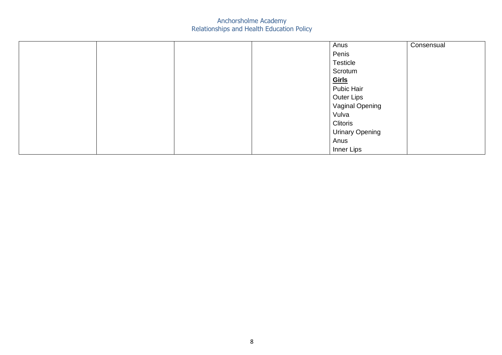|  |  | Anus                   | Consensual |
|--|--|------------------------|------------|
|  |  | Penis                  |            |
|  |  | <b>Testicle</b>        |            |
|  |  | Scrotum                |            |
|  |  | Girls                  |            |
|  |  | Pubic Hair             |            |
|  |  | <b>Outer Lips</b>      |            |
|  |  | Vaginal Opening        |            |
|  |  | Vulva                  |            |
|  |  | Clitoris               |            |
|  |  | <b>Urinary Opening</b> |            |
|  |  | Anus                   |            |
|  |  | Inner Lips             |            |